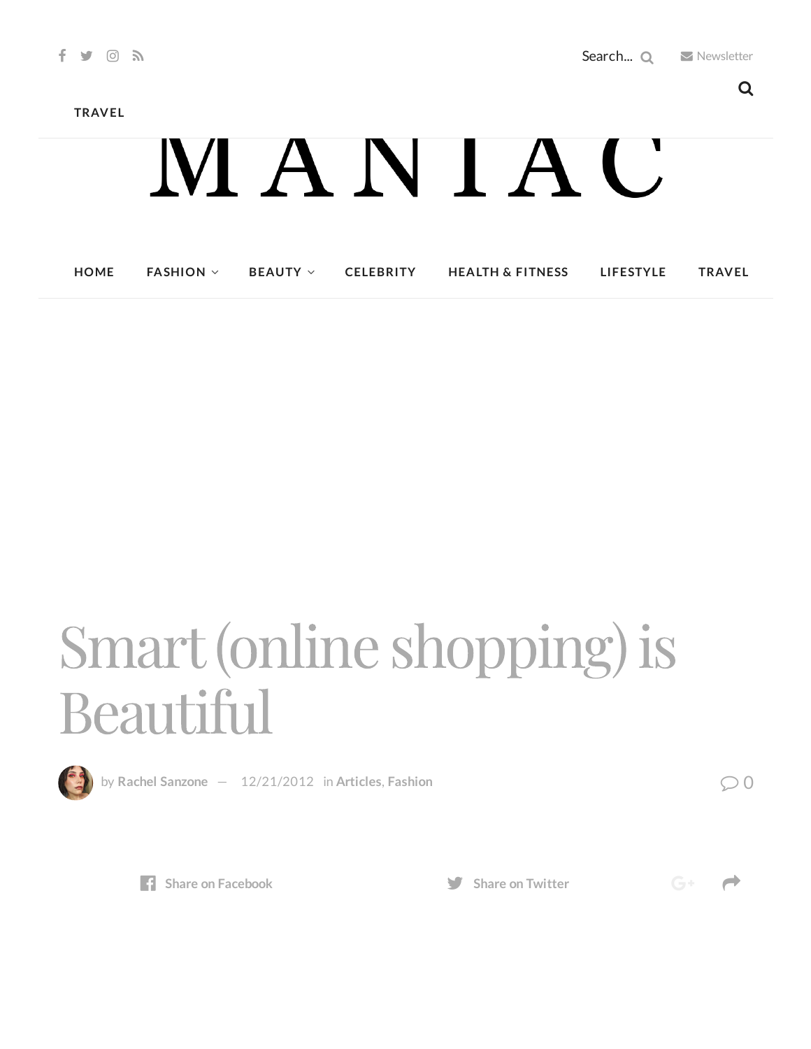**[TRAVEL](http://maniacmagazine.com/life/travel/)**

## MANIAC

| <b>HOME</b> | <b>FASHION</b> $\vee$ |  | $BEAUTY \vee$ CELEBRITY | <b>HEALTH &amp; FITNESS</b> | <b>LIFESTYLE</b> | <b>TRAVEL</b> |
|-------------|-----------------------|--|-------------------------|-----------------------------|------------------|---------------|
|-------------|-----------------------|--|-------------------------|-----------------------------|------------------|---------------|

## Smart(online shopping) is **Beautiful**



**by Rachel [Sanzone](http://maniacmagazine.com/author/rachel/)**  $- 12/21/2012$  $- 12/21/2012$  in [Articles](http://maniacmagazine.com/articles/), [Fashion](http://maniacmagazine.com/fashion/)  $\bigcirc$  0



**Share** on **[Facebook](http://www.facebook.com/sharer.php?u=http%3A%2F%2Fmaniacmagazine.com%2Ffashion%2Fsmart-online-shopping-is-beautiful%2F) Share Share** on **[Twitter](https://twitter.com/intent/tweet?text=Smart+%28online+shopping%29+is+Beautiful&url=http%3A%2F%2Fmaniacmagazine.com%2Ffashion%2Fsmart-online-shopping-is-beautiful%2F)** 



 $G^+$   $\rightarrow$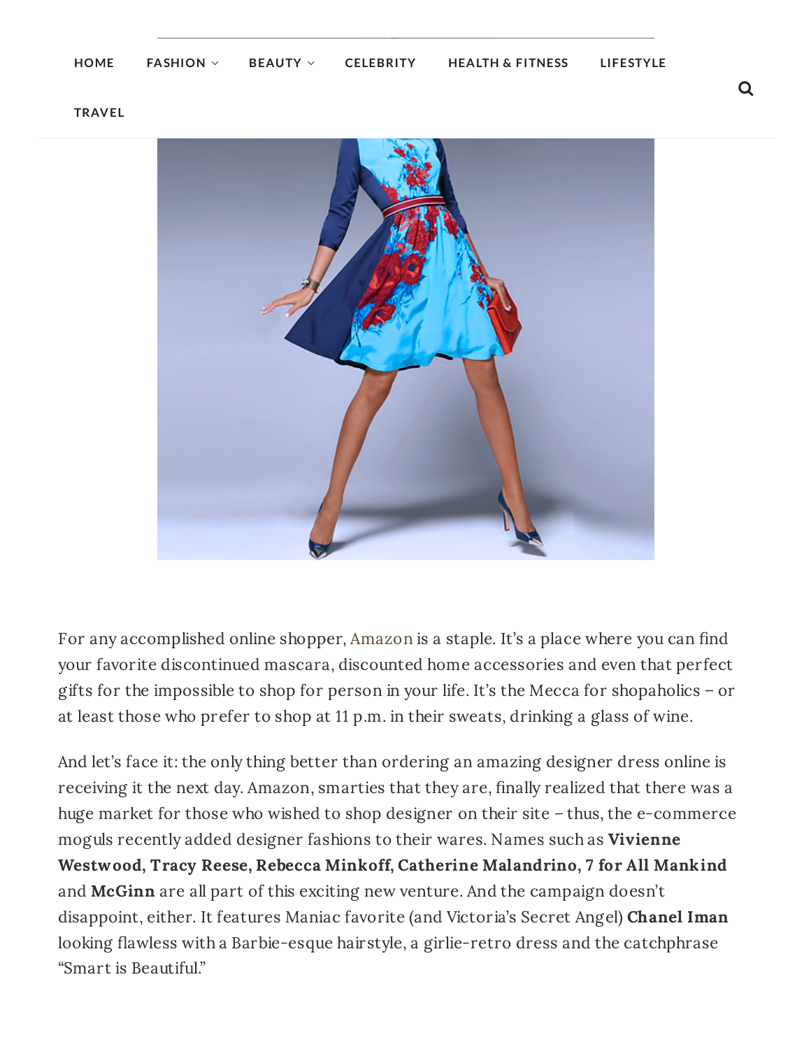**[TRAVEL](http://maniacmagazine.com/life/travel/)**



For any accomplished online shopper, [Amazon](http://www.amazon.com/) is a staple. It's a place where you can find your favorite discontinued mascara, discounted home accessories and even that perfect gifts for the impossible to shop for person in your life. It's the Mecca for shopaholics – or at least those who prefer to shop at 11 p.m. in their sweats, drinking a glass of wine.

And let's face it: the only thing better than ordering an amazing designer dress online is receiving it the next day. Amazon, smarties that they are, finally realized that there was a huge market for those who wished to shop designer on their site – thus, the e-commerce moguls recently added designer fashions to their wares. Names such as Vivienne Westwood, Tracy Reese, Rebecca Minkoff, Catherine Malandrino, 7 for All Mankind and **McGinn** are all part of this exciting new venture. And the campaign doesn't disappoint, either. It features Maniac favorite (and Victoria's Secret Angel) Chanel Iman looking flawless with a Barbie-esque hairstyle, a girlie-retro dress and the catchphrase "Smart is Beautiful."

Q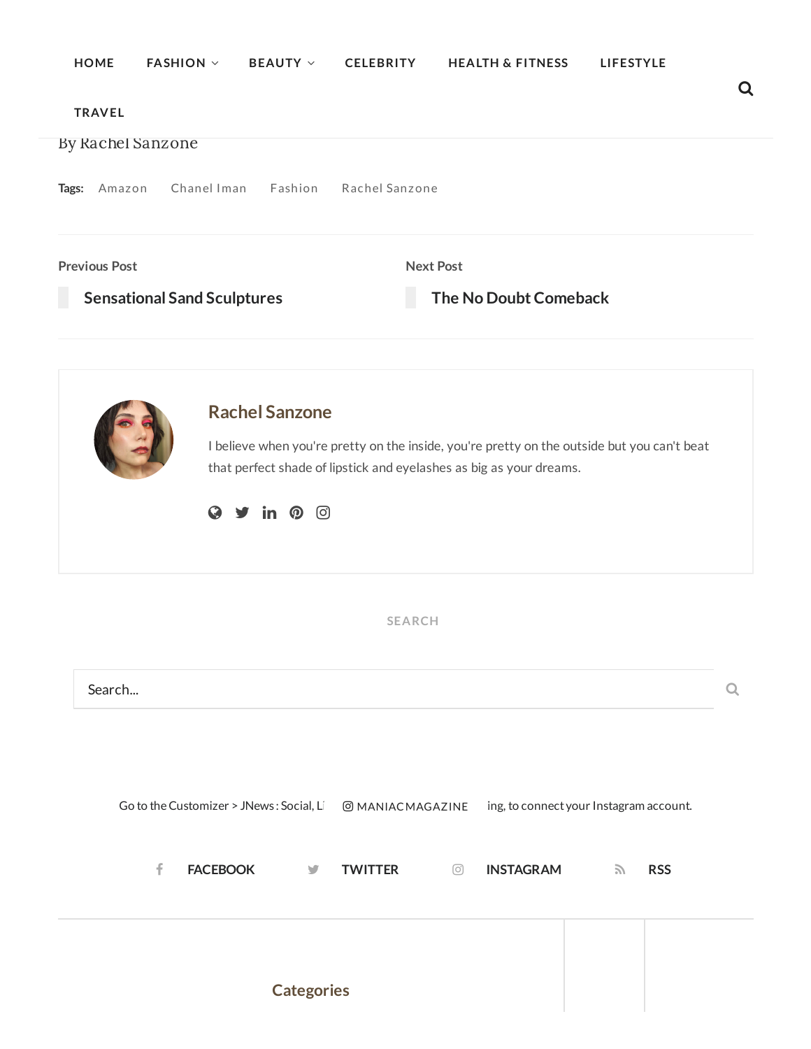| <b>HOME</b>          | <b>FASHION V</b><br><b>BEAUTY V</b>      |                     | <b>CELEBRITY</b>  | <b>HEALTH &amp; FITNESS</b>                                         | LIFESTYLE                                                                                   |   |
|----------------------|------------------------------------------|---------------------|-------------------|---------------------------------------------------------------------|---------------------------------------------------------------------------------------------|---|
| <b>TRAVEL</b>        |                                          |                     |                   |                                                                     |                                                                                             |   |
| By Rachel Sanzone    |                                          |                     |                   |                                                                     |                                                                                             |   |
| Tags: Amazon         | Chanel Iman Fashion                      |                     | Rachel Sanzone    |                                                                     |                                                                                             |   |
| <b>Previous Post</b> |                                          |                     | <b>Next Post</b>  |                                                                     |                                                                                             |   |
|                      | <b>Sensational Sand Sculptures</b>       |                     |                   | The No Doubt Comeback                                               |                                                                                             |   |
|                      |                                          |                     |                   |                                                                     |                                                                                             |   |
|                      | <b>Rachel Sanzone</b>                    |                     |                   |                                                                     |                                                                                             |   |
|                      |                                          |                     |                   | that perfect shade of lipstick and eyelashes as big as your dreams. | I believe when you're pretty on the inside, you're pretty on the outside but you can't beat |   |
|                      | $\mathbf Q$                              | ම<br>in $\odot$     |                   |                                                                     |                                                                                             |   |
|                      |                                          |                     |                   |                                                                     |                                                                                             |   |
|                      |                                          |                     |                   |                                                                     |                                                                                             |   |
|                      |                                          |                     | <b>SEARCH</b>     |                                                                     |                                                                                             |   |
| Search               |                                          |                     |                   |                                                                     |                                                                                             | Q |
|                      |                                          |                     |                   |                                                                     |                                                                                             |   |
|                      |                                          |                     |                   |                                                                     |                                                                                             |   |
|                      |                                          |                     |                   |                                                                     |                                                                                             |   |
|                      | Go to the Customizer > JNews: Social, Li |                     | O MANIAC MAGAZINE |                                                                     | ing, to connect your Instagram account.                                                     |   |
|                      |                                          |                     |                   |                                                                     |                                                                                             |   |
| f                    | <b>FACEBOOK</b>                          | <b>TWITTER</b><br>y | ⊙                 | <b>INSTAGRAM</b>                                                    | <b>RSS</b><br>$\mathcal{L}$                                                                 |   |
|                      |                                          |                     |                   |                                                                     |                                                                                             |   |